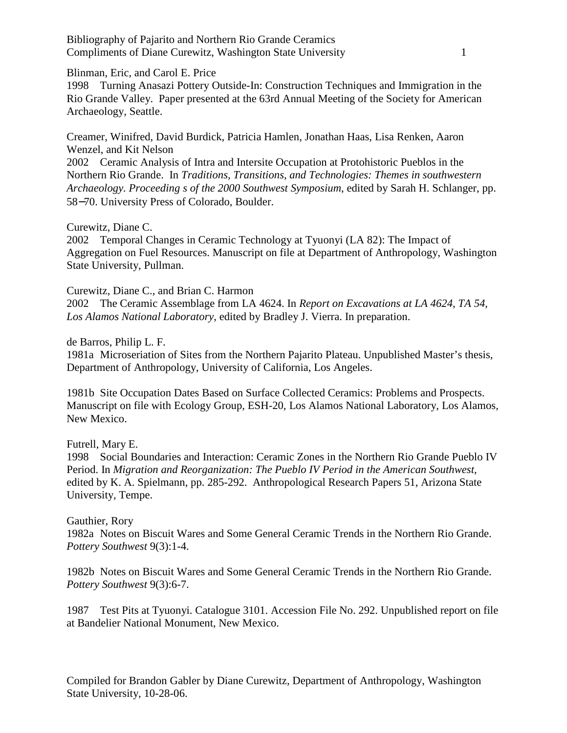Bibliography of Pajarito and Northern Rio Grande Ceramics Compliments of Diane Curewitz, Washington State University 1

Blinman, Eric, and Carol E. Price

1998 Turning Anasazi Pottery Outside-In: Construction Techniques and Immigration in the Rio Grande Valley. Paper presented at the 63rd Annual Meeting of the Society for American Archaeology, Seattle.

Creamer, Winifred, David Burdick, Patricia Hamlen, Jonathan Haas, Lisa Renken, Aaron Wenzel, and Kit Nelson

2002 Ceramic Analysis of Intra and Intersite Occupation at Protohistoric Pueblos in the Northern Rio Grande. In *Traditions, Transitions, and Technologies: Themes in southwestern Archaeology. Proceeding s of the 2000 Southwest Symposium*, edited by Sarah H. Schlanger, pp. 58−70. University Press of Colorado, Boulder.

Curewitz, Diane C.

2002 Temporal Changes in Ceramic Technology at Tyuonyi (LA 82): The Impact of Aggregation on Fuel Resources. Manuscript on file at Department of Anthropology, Washington State University, Pullman.

Curewitz, Diane C., and Brian C. Harmon

2002 The Ceramic Assemblage from LA 4624. In *Report on Excavations at LA 4624, TA 54, Los Alamos National Laboratory*, edited by Bradley J. Vierra. In preparation.

de Barros, Philip L. F.

1981a Microseriation of Sites from the Northern Pajarito Plateau. Unpublished Master's thesis, Department of Anthropology, University of California, Los Angeles.

1981b Site Occupation Dates Based on Surface Collected Ceramics: Problems and Prospects. Manuscript on file with Ecology Group, ESH-20, Los Alamos National Laboratory, Los Alamos, New Mexico.

Futrell, Mary E.

1998 Social Boundaries and Interaction: Ceramic Zones in the Northern Rio Grande Pueblo IV Period. In *Migration and Reorganization: The Pueblo IV Period in the American Southwest*, edited by K. A. Spielmann, pp. 285-292. Anthropological Research Papers 51, Arizona State University, Tempe.

Gauthier, Rory

1982a Notes on Biscuit Wares and Some General Ceramic Trends in the Northern Rio Grande. *Pottery Southwest* 9(3):1-4.

1982b Notes on Biscuit Wares and Some General Ceramic Trends in the Northern Rio Grande. *Pottery Southwest* 9(3):6-7.

1987 Test Pits at Tyuonyi. Catalogue 3101. Accession File No. 292. Unpublished report on file at Bandelier National Monument, New Mexico.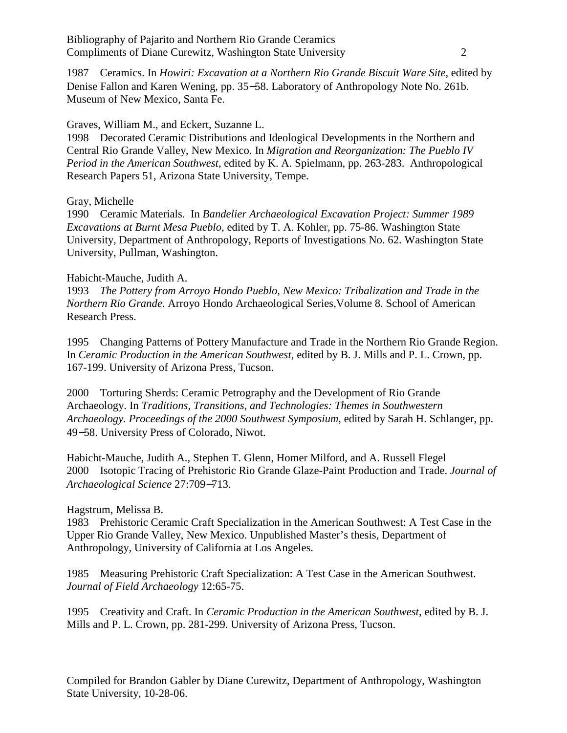1987 Ceramics. In *Howiri: Excavation at a Northern Rio Grande Biscuit Ware Site*, edited by Denise Fallon and Karen Wening, pp. 35−58. Laboratory of Anthropology Note No. 261b. Museum of New Mexico, Santa Fe.

# Graves, William M., and Eckert, Suzanne L.

1998 Decorated Ceramic Distributions and Ideological Developments in the Northern and Central Rio Grande Valley, New Mexico. In *Migration and Reorganization: The Pueblo IV Period in the American Southwest*, edited by K. A. Spielmann, pp. 263-283. Anthropological Research Papers 51, Arizona State University, Tempe.

# Gray, Michelle

1990 Ceramic Materials. In *Bandelier Archaeological Excavation Project: Summer 1989 Excavations at Burnt Mesa Pueblo*, edited by T. A. Kohler, pp. 75-86. Washington State University, Department of Anthropology, Reports of Investigations No. 62. Washington State University, Pullman, Washington.

# Habicht-Mauche, Judith A.

1993 *The Pottery from Arroyo Hondo Pueblo, New Mexico: Tribalization and Trade in the Northern Rio Grande*. Arroyo Hondo Archaeological Series,Volume 8. School of American Research Press.

1995 Changing Patterns of Pottery Manufacture and Trade in the Northern Rio Grande Region. In *Ceramic Production in the American Southwest*, edited by B. J. Mills and P. L. Crown, pp. 167-199. University of Arizona Press, Tucson.

2000 Torturing Sherds: Ceramic Petrography and the Development of Rio Grande Archaeology. In *Traditions, Transitions, and Technologies: Themes in Southwestern Archaeology. Proceedings of the 2000 Southwest Symposium,* edited by Sarah H. Schlanger, pp. 49−58. University Press of Colorado, Niwot.

Habicht-Mauche, Judith A., Stephen T. Glenn, Homer Milford, and A. Russell Flegel 2000 Isotopic Tracing of Prehistoric Rio Grande Glaze-Paint Production and Trade. *Journal of Archaeological Science* 27:709−713.

# Hagstrum, Melissa B.

1983 Prehistoric Ceramic Craft Specialization in the American Southwest: A Test Case in the Upper Rio Grande Valley, New Mexico. Unpublished Master's thesis, Department of Anthropology, University of California at Los Angeles.

1985 Measuring Prehistoric Craft Specialization: A Test Case in the American Southwest. *Journal of Field Archaeology* 12:65-75.

1995 Creativity and Craft. In *Ceramic Production in the American Southwest*, edited by B. J. Mills and P. L. Crown, pp. 281-299. University of Arizona Press, Tucson.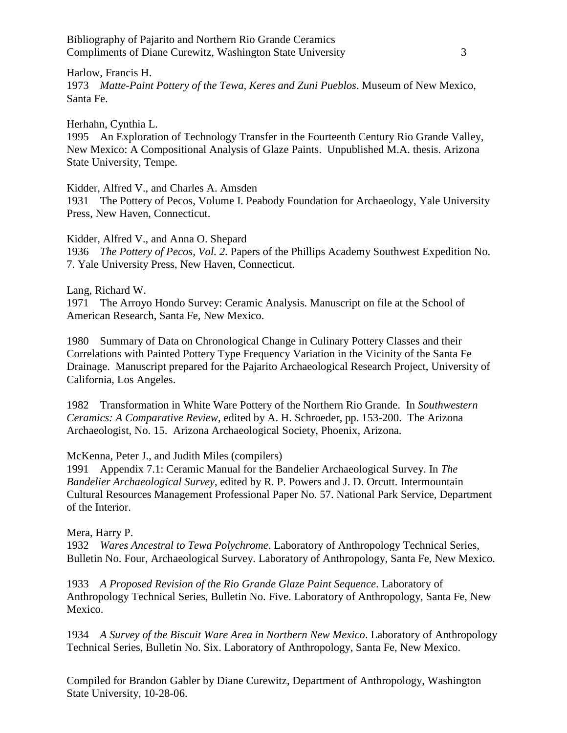Bibliography of Pajarito and Northern Rio Grande Ceramics Compliments of Diane Curewitz, Washington State University 3

Harlow, Francis H. 1973 *Matte-Paint Pottery of the Tewa, Keres and Zuni Pueblos*. Museum of New Mexico, Santa Fe.

Herhahn, Cynthia L.

1995 An Exploration of Technology Transfer in the Fourteenth Century Rio Grande Valley, New Mexico: A Compositional Analysis of Glaze Paints. Unpublished M.A. thesis. Arizona State University, Tempe.

Kidder, Alfred V., and Charles A. Amsden

1931 The Pottery of Pecos, Volume I. Peabody Foundation for Archaeology, Yale University Press, New Haven, Connecticut.

Kidder, Alfred V., and Anna O. Shepard 1936 *The Pottery of Pecos, Vol. 2*. Papers of the Phillips Academy Southwest Expedition No. 7. Yale University Press, New Haven, Connecticut.

Lang, Richard W.

1971 The Arroyo Hondo Survey: Ceramic Analysis. Manuscript on file at the School of American Research, Santa Fe, New Mexico.

1980 Summary of Data on Chronological Change in Culinary Pottery Classes and their Correlations with Painted Pottery Type Frequency Variation in the Vicinity of the Santa Fe Drainage. Manuscript prepared for the Pajarito Archaeological Research Project, University of California, Los Angeles.

1982 Transformation in White Ware Pottery of the Northern Rio Grande. In *Southwestern Ceramics: A Comparative Review*, edited by A. H. Schroeder, pp. 153-200. The Arizona Archaeologist, No. 15. Arizona Archaeological Society, Phoenix, Arizona.

McKenna, Peter J., and Judith Miles (compilers)

1991 Appendix 7.1: Ceramic Manual for the Bandelier Archaeological Survey. In *The Bandelier Archaeological Survey*, edited by R. P. Powers and J. D. Orcutt. Intermountain Cultural Resources Management Professional Paper No. 57. National Park Service, Department of the Interior.

Mera, Harry P.

1932 *Wares Ancestral to Tewa Polychrome*. Laboratory of Anthropology Technical Series, Bulletin No. Four, Archaeological Survey. Laboratory of Anthropology, Santa Fe, New Mexico.

1933 *A Proposed Revision of the Rio Grande Glaze Paint Sequence*. Laboratory of Anthropology Technical Series, Bulletin No. Five. Laboratory of Anthropology, Santa Fe, New Mexico.

1934 *A Survey of the Biscuit Ware Area in Northern New Mexico*. Laboratory of Anthropology Technical Series, Bulletin No. Six. Laboratory of Anthropology, Santa Fe, New Mexico.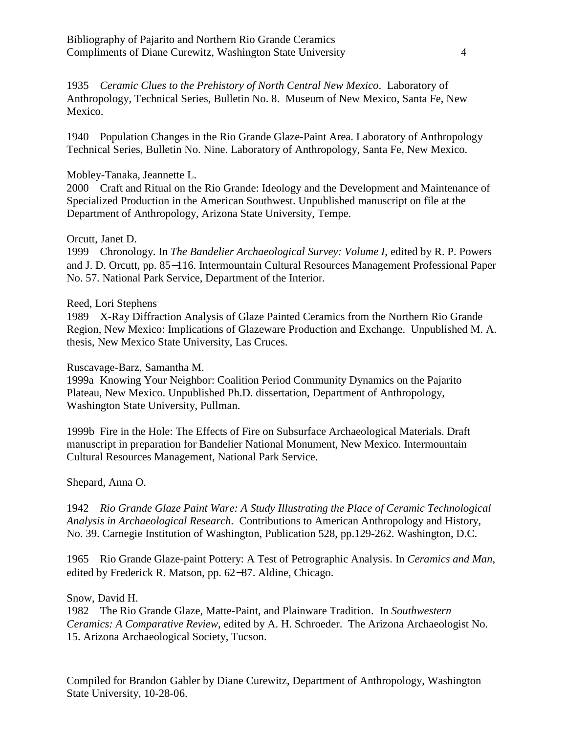1935 *Ceramic Clues to the Prehistory of North Central New Mexico*. Laboratory of Anthropology, Technical Series, Bulletin No. 8. Museum of New Mexico, Santa Fe, New Mexico.

1940 Population Changes in the Rio Grande Glaze-Paint Area. Laboratory of Anthropology Technical Series, Bulletin No. Nine. Laboratory of Anthropology, Santa Fe, New Mexico.

### Mobley-Tanaka, Jeannette L.

2000 Craft and Ritual on the Rio Grande: Ideology and the Development and Maintenance of Specialized Production in the American Southwest. Unpublished manuscript on file at the Department of Anthropology, Arizona State University, Tempe.

#### Orcutt, Janet D.

1999 Chronology. In *The Bandelier Archaeological Survey: Volume I*, edited by R. P. Powers and J. D. Orcutt, pp. 85−116. Intermountain Cultural Resources Management Professional Paper No. 57. National Park Service, Department of the Interior.

#### Reed, Lori Stephens

1989 X-Ray Diffraction Analysis of Glaze Painted Ceramics from the Northern Rio Grande Region, New Mexico: Implications of Glazeware Production and Exchange. Unpublished M. A. thesis, New Mexico State University, Las Cruces.

Ruscavage-Barz, Samantha M.

1999a Knowing Your Neighbor: Coalition Period Community Dynamics on the Pajarito Plateau, New Mexico. Unpublished Ph.D. dissertation, Department of Anthropology, Washington State University, Pullman.

1999b Fire in the Hole: The Effects of Fire on Subsurface Archaeological Materials. Draft manuscript in preparation for Bandelier National Monument, New Mexico. Intermountain Cultural Resources Management, National Park Service.

## Shepard, Anna O.

1942 *Rio Grande Glaze Paint Ware: A Study Illustrating the Place of Ceramic Technological Analysis in Archaeological Research*. Contributions to American Anthropology and History, No. 39. Carnegie Institution of Washington, Publication 528, pp.129-262. Washington, D.C.

1965 Rio Grande Glaze-paint Pottery: A Test of Petrographic Analysis. In *Ceramics and Man*, edited by Frederick R. Matson, pp. 62−87. Aldine, Chicago.

Snow, David H.

1982 The Rio Grande Glaze, Matte-Paint, and Plainware Tradition. In *Southwestern Ceramics: A Comparative Review*, edited by A. H. Schroeder. The Arizona Archaeologist No. 15. Arizona Archaeological Society, Tucson.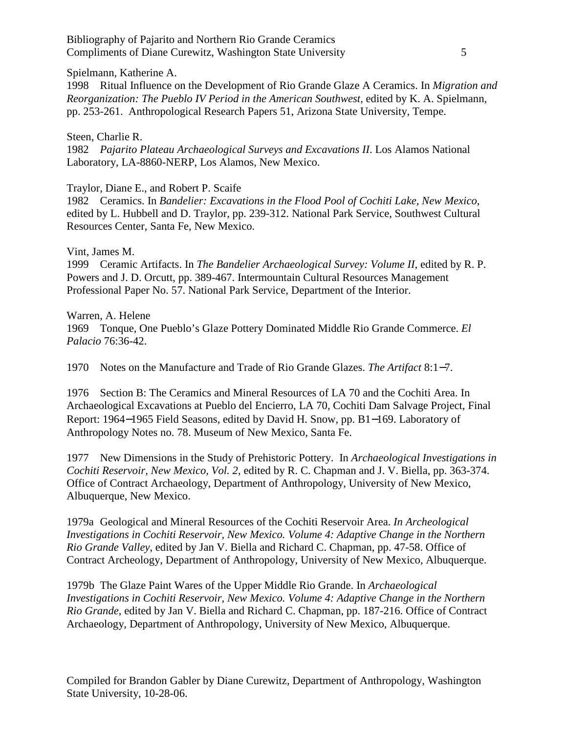Bibliography of Pajarito and Northern Rio Grande Ceramics Compliments of Diane Curewitz, Washington State University 5

Spielmann, Katherine A.

1998 Ritual Influence on the Development of Rio Grande Glaze A Ceramics. In *Migration and Reorganization: The Pueblo IV Period in the American Southwest*, edited by K. A. Spielmann, pp. 253-261. Anthropological Research Papers 51, Arizona State University, Tempe.

Steen, Charlie R. 1982 *Pajarito Plateau Archaeological Surveys and Excavations II*. Los Alamos National Laboratory, LA-8860-NERP, Los Alamos, New Mexico.

Traylor, Diane E., and Robert P. Scaife

1982 Ceramics. In *Bandelier: Excavations in the Flood Pool of Cochiti Lake, New Mexico*, edited by L. Hubbell and D. Traylor, pp. 239-312. National Park Service, Southwest Cultural Resources Center, Santa Fe, New Mexico.

Vint, James M.

1999 Ceramic Artifacts. In *The Bandelier Archaeological Survey: Volume II*, edited by R. P. Powers and J. D. Orcutt, pp. 389-467. Intermountain Cultural Resources Management Professional Paper No. 57. National Park Service, Department of the Interior.

Warren, A. Helene 1969 Tonque, One Pueblo's Glaze Pottery Dominated Middle Rio Grande Commerce. *El Palacio* 76:36-42.

1970 Notes on the Manufacture and Trade of Rio Grande Glazes. *The Artifact* 8:1−7.

1976 Section B: The Ceramics and Mineral Resources of LA 70 and the Cochiti Area. In Archaeological Excavations at Pueblo del Encierro, LA 70, Cochiti Dam Salvage Project, Final Report: 1964−1965 Field Seasons, edited by David H. Snow, pp. B1−169. Laboratory of Anthropology Notes no. 78. Museum of New Mexico, Santa Fe.

1977 New Dimensions in the Study of Prehistoric Pottery. In *Archaeological Investigations in Cochiti Reservoir, New Mexico, Vol. 2*, edited by R. C. Chapman and J. V. Biella, pp. 363-374. Office of Contract Archaeology, Department of Anthropology, University of New Mexico, Albuquerque, New Mexico.

1979a Geological and Mineral Resources of the Cochiti Reservoir Area. *In Archeological Investigations in Cochiti Reservoir, New Mexico. Volume 4: Adaptive Change in the Northern Rio Grande Valley*, edited by Jan V. Biella and Richard C. Chapman, pp. 47-58. Office of Contract Archeology, Department of Anthropology, University of New Mexico, Albuquerque.

1979b The Glaze Paint Wares of the Upper Middle Rio Grande. In *Archaeological Investigations in Cochiti Reservoir, New Mexico. Volume 4: Adaptive Change in the Northern Rio Grande*, edited by Jan V. Biella and Richard C. Chapman, pp. 187-216. Office of Contract Archaeology, Department of Anthropology, University of New Mexico, Albuquerque.